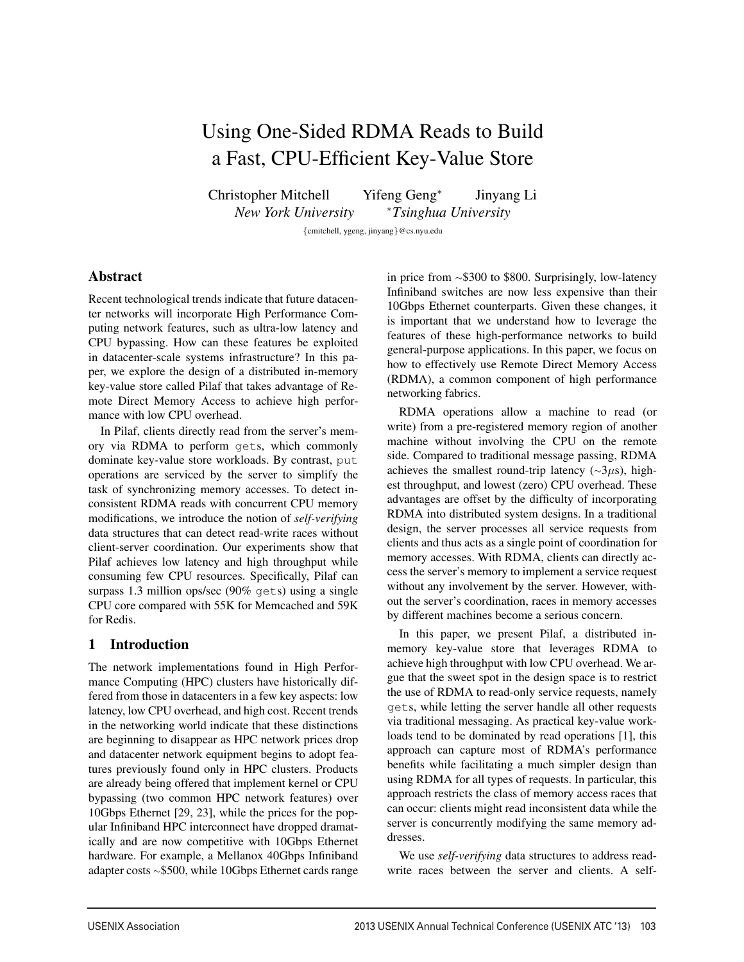# Using One-Sided RDMA Reads to Build a Fast, CPU-Efficient Key-Value Store

Christopher Mitchell Yifeng Geng*<sup>∗</sup>* Jinyang Li *New York University <sup>∗</sup>Tsinghua University*

*{*cmitchell, ygeng, jinyang*}*@cs.nyu.edu

1

# Abstract

Recent technological trends indicate that future datacenter networks will incorporate High Performance Computing network features, such as ultra-low latency and CPU bypassing. How can these features be exploited in datacenter-scale systems infrastructure? In this paper, we explore the design of a distributed in-memory key-value store called Pilaf that takes advantage of Remote Direct Memory Access to achieve high performance with low CPU overhead.

In Pilaf, clients directly read from the server's memory via RDMA to perform gets, which commonly dominate key-value store workloads. By contrast, put operations are serviced by the server to simplify the task of synchronizing memory accesses. To detect inconsistent RDMA reads with concurrent CPU memory modifications, we introduce the notion of *self-verifying* data structures that can detect read-write races without client-server coordination. Our experiments show that Pilaf achieves low latency and high throughput while consuming few CPU resources. Specifically, Pilaf can surpass 1.3 million ops/sec (90% gets) using a single CPU core compared with 55K for Memcached and 59K for Redis.

# 1 Introduction

The network implementations found in High Performance Computing (HPC) clusters have historically differed from those in datacenters in a few key aspects: low latency, low CPU overhead, and high cost. Recent trends in the networking world indicate that these distinctions are beginning to disappear as HPC network prices drop and datacenter network equipment begins to adopt features previously found only in HPC clusters. Products are already being offered that implement kernel or CPU bypassing (two common HPC network features) over 10Gbps Ethernet [29, 23], while the prices for the popular Infiniband HPC interconnect have dropped dramatically and are now competitive with 10Gbps Ethernet hardware. For example, a Mellanox 40Gbps Infiniband adapter costs *<sup>∼</sup>*\$500, while 10Gbps Ethernet cards range in price from *<sup>∼</sup>*\$300 to \$800. Surprisingly, low-latency Infiniband switches are now less expensive than their 10Gbps Ethernet counterparts. Given these changes, it is important that we understand how to leverage the features of these high-performance networks to build general-purpose applications. In this paper, we focus on how to effectively use Remote Direct Memory Access (RDMA), a common component of high performance networking fabrics.

RDMA operations allow a machine to read (or write) from a pre-registered memory region of another machine without involving the CPU on the remote side. Compared to traditional message passing, RDMA achieves the smallest round-trip latency (*∼*3*µ*s), highest throughput, and lowest (zero) CPU overhead. These advantages are offset by the difficulty of incorporating RDMA into distributed system designs. In a traditional design, the server processes all service requests from clients and thus acts as a single point of coordination for memory accesses. With RDMA, clients can directly access the server's memory to implement a service request without any involvement by the server. However, without the server's coordination, races in memory accesses by different machines become a serious concern.

In this paper, we present Pilaf, a distributed inmemory key-value store that leverages RDMA to achieve high throughput with low CPU overhead. We argue that the sweet spot in the design space is to restrict the use of RDMA to read-only service requests, namely gets, while letting the server handle all other requests via traditional messaging. As practical key-value workloads tend to be dominated by read operations [1], this approach can capture most of RDMA's performance benefits while facilitating a much simpler design than using RDMA for all types of requests. In particular, this approach restricts the class of memory access races that can occur: clients might read inconsistent data while the server is concurrently modifying the same memory addresses.

We use *self-verifying* data structures to address readwrite races between the server and clients. A self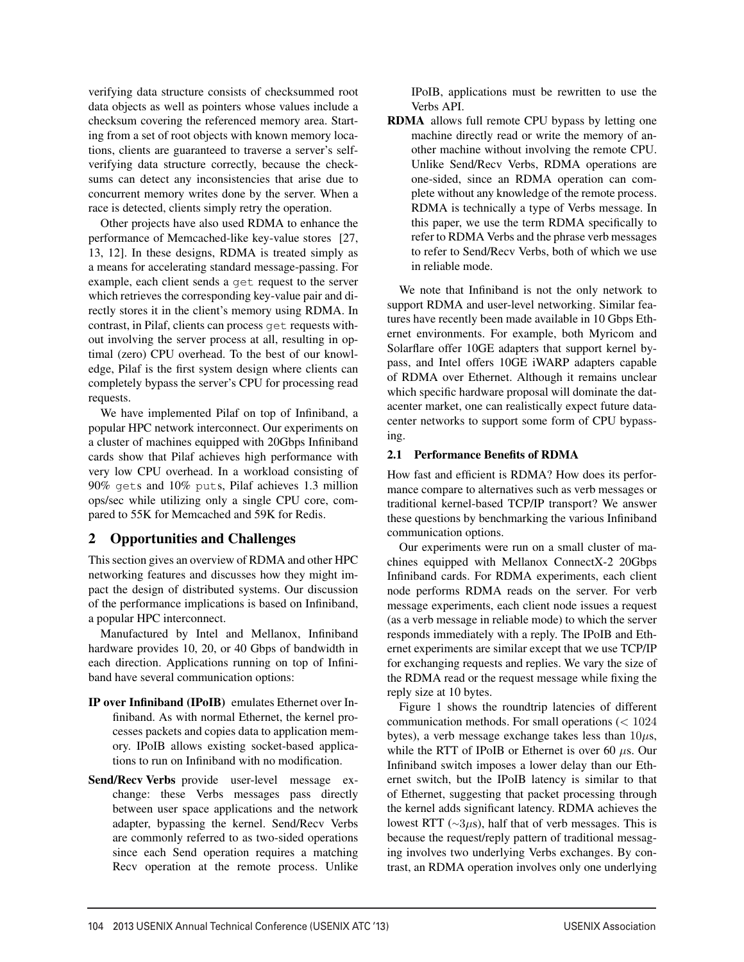verifying data structure consists of checksummed root data objects as well as pointers whose values include a checksum covering the referenced memory area. Starting from a set of root objects with known memory locations, clients are guaranteed to traverse a server's selfverifying data structure correctly, because the checksums can detect any inconsistencies that arise due to concurrent memory writes done by the server. When a race is detected, clients simply retry the operation.

Other projects have also used RDMA to enhance the performance of Memcached-like key-value stores [27, 13, 12]. In these designs, RDMA is treated simply as a means for accelerating standard message-passing. For example, each client sends a get request to the server which retrieves the corresponding key-value pair and directly stores it in the client's memory using RDMA. In contrast, in Pilaf, clients can process get requests without involving the server process at all, resulting in optimal (zero) CPU overhead. To the best of our knowledge, Pilaf is the first system design where clients can completely bypass the server's CPU for processing read requests.

We have implemented Pilaf on top of Infiniband, a popular HPC network interconnect. Our experiments on a cluster of machines equipped with 20Gbps Infiniband cards show that Pilaf achieves high performance with very low CPU overhead. In a workload consisting of 90% gets and 10% puts, Pilaf achieves 1.3 million ops/sec while utilizing only a single CPU core, compared to 55K for Memcached and 59K for Redis.

# 2 Opportunities and Challenges

This section gives an overview of RDMA and other HPC networking features and discusses how they might impact the design of distributed systems. Our discussion of the performance implications is based on Infiniband, a popular HPC interconnect.

Manufactured by Intel and Mellanox, Infiniband hardware provides 10, 20, or 40 Gbps of bandwidth in each direction. Applications running on top of Infiniband have several communication options:

- IP over Infiniband (IPoIB) emulates Ethernet over Infiniband. As with normal Ethernet, the kernel processes packets and copies data to application memory. IPoIB allows existing socket-based applications to run on Infiniband with no modification.
- Send/Recv Verbs provide user-level message exchange: these Verbs messages pass directly between user space applications and the network adapter, bypassing the kernel. Send/Recv Verbs are commonly referred to as two-sided operations since each Send operation requires a matching Recv operation at the remote process. Unlike

IPoIB, applications must be rewritten to use the Verbs API.

RDMA allows full remote CPU bypass by letting one machine directly read or write the memory of another machine without involving the remote CPU. Unlike Send/Recv Verbs, RDMA operations are one-sided, since an RDMA operation can complete without any knowledge of the remote process. RDMA is technically a type of Verbs message. In this paper, we use the term RDMA specifically to refer to RDMA Verbs and the phrase verb messages to refer to Send/Recv Verbs, both of which we use in reliable mode.

We note that Infiniband is not the only network to support RDMA and user-level networking. Similar features have recently been made available in 10 Gbps Ethernet environments. For example, both Myricom and Solarflare offer 10GE adapters that support kernel bypass, and Intel offers 10GE iWARP adapters capable of RDMA over Ethernet. Although it remains unclear which specific hardware proposal will dominate the datacenter market, one can realistically expect future datacenter networks to support some form of CPU bypassing.

## 2.1 Performance Benefits of RDMA

How fast and efficient is RDMA? How does its performance compare to alternatives such as verb messages or traditional kernel-based TCP/IP transport? We answer these questions by benchmarking the various Infiniband communication options.

Our experiments were run on a small cluster of machines equipped with Mellanox ConnectX-2 20Gbps Infiniband cards. For RDMA experiments, each client node performs RDMA reads on the server. For verb message experiments, each client node issues a request (as a verb message in reliable mode) to which the server responds immediately with a reply. The IPoIB and Ethernet experiments are similar except that we use TCP/IP for exchanging requests and replies. We vary the size of the RDMA read or the request message while fixing the reply size at 10 bytes.

Figure 1 shows the roundtrip latencies of different communication methods. For small operations (*<* 1024 bytes), a verb message exchange takes less than 10*µ*s, while the RTT of IPoIB or Ethernet is over 60 *µ*s. Our Infiniband switch imposes a lower delay than our Ethernet switch, but the IPoIB latency is similar to that of Ethernet, suggesting that packet processing through the kernel adds significant latency. RDMA achieves the lowest RTT (*∼*3*µ*s), half that of verb messages. This is because the request/reply pattern of traditional messaging involves two underlying Verbs exchanges. By contrast, an RDMA operation involves only one underlying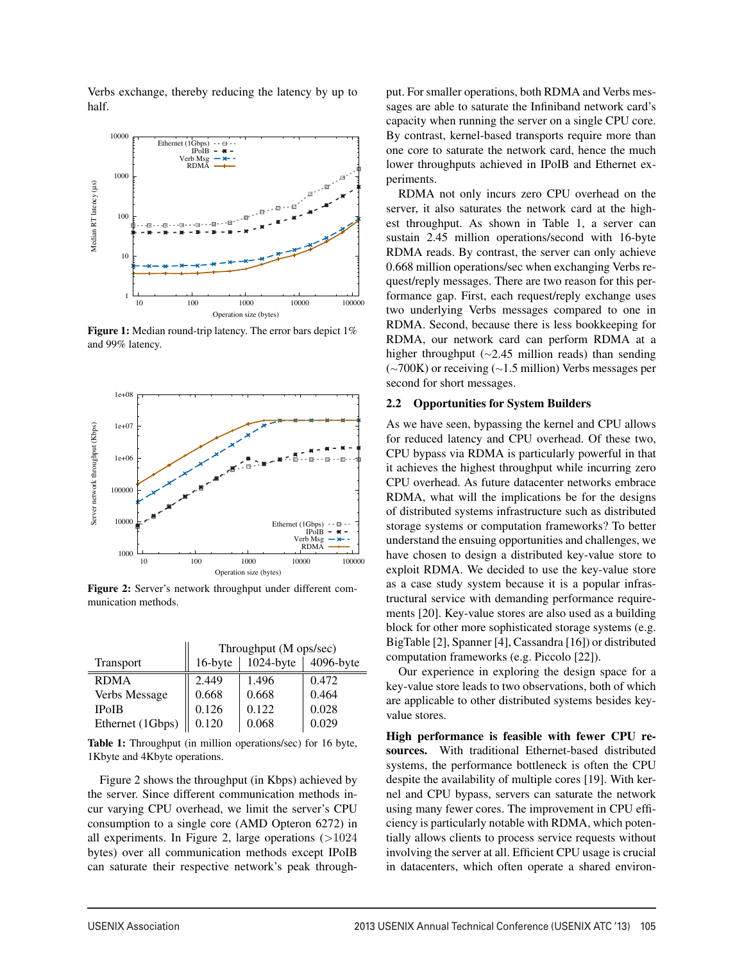Verbs exchange, thereby reducing the latency by up to half.



Figure 1: Median round-trip latency. The error bars depict 1% and 99% latency.



Figure 2: Server's network throughput under different communication methods.

|                  | Throughput (M ops/sec) |              |           |
|------------------|------------------------|--------------|-----------|
| <b>Transport</b> | 16-byte                | $1024$ -byte | 4096-byte |
| <b>RDMA</b>      | 2.449                  | 1.496        | 0.472     |
| Verbs Message    | 0.668                  | 0.668        | 0.464     |
| <b>IPoIB</b>     | 0.126                  | 0.122        | 0.028     |
| Ethernet (1Gbps) | 0.120                  | 0.068        | 0.029     |

Table 1: Throughput (in million operations/sec) for 16 byte, 1Kbyte and 4Kbyte operations.

Figure 2 shows the throughput (in Kbps) achieved by the server. Since different communication methods incur varying CPU overhead, we limit the server's CPU consumption to a single core (AMD Opteron 6272) in all experiments. In Figure 2, large operations (*>*1024 bytes) over all communication methods except IPoIB can saturate their respective network's peak throughput. For smaller operations, both RDMA and Verbs messages are able to saturate the Infiniband network card's capacity when running the server on a single CPU core. By contrast, kernel-based transports require more than one core to saturate the network card, hence the much lower throughputs achieved in IPoIB and Ethernet experiments.

RDMA not only incurs zero CPU overhead on the server, it also saturates the network card at the highest throughput. As shown in Table 1, a server can sustain 2.45 million operations/second with 16-byte RDMA reads. By contrast, the server can only achieve 0.668 million operations/sec when exchanging Verbs request/reply messages. There are two reason for this performance gap. First, each request/reply exchange uses two underlying Verbs messages compared to one in RDMA. Second, because there is less bookkeeping for RDMA, our network card can perform RDMA at a higher throughput (*∼*2.45 million reads) than sending (*∼*700K) or receiving (*∼*1.5 million) Verbs messages per second for short messages.

#### 2.2 Opportunities for System Builders

As we have seen, bypassing the kernel and CPU allows for reduced latency and CPU overhead. Of these two, CPU bypass via RDMA is particularly powerful in that it achieves the highest throughput while incurring zero CPU overhead. As future datacenter networks embrace RDMA, what will the implications be for the designs of distributed systems infrastructure such as distributed storage systems or computation frameworks? To better understand the ensuing opportunities and challenges, we have chosen to design a distributed key-value store to exploit RDMA. We decided to use the key-value store as a case study system because it is a popular infrastructural service with demanding performance requirements [20]. Key-value stores are also used as a building block for other more sophisticated storage systems (e.g. BigTable [2], Spanner [4], Cassandra [16]) or distributed computation frameworks (e.g. Piccolo [22]).

Our experience in exploring the design space for a key-value store leads to two observations, both of which are applicable to other distributed systems besides keyvalue stores.

High performance is feasible with fewer CPU resources. With traditional Ethernet-based distributed systems, the performance bottleneck is often the CPU despite the availability of multiple cores [19]. With kernel and CPU bypass, servers can saturate the network using many fewer cores. The improvement in CPU efficiency is particularly notable with RDMA, which potentially allows clients to process service requests without involving the server at all. Efficient CPU usage is crucial in datacenters, which often operate a shared environ-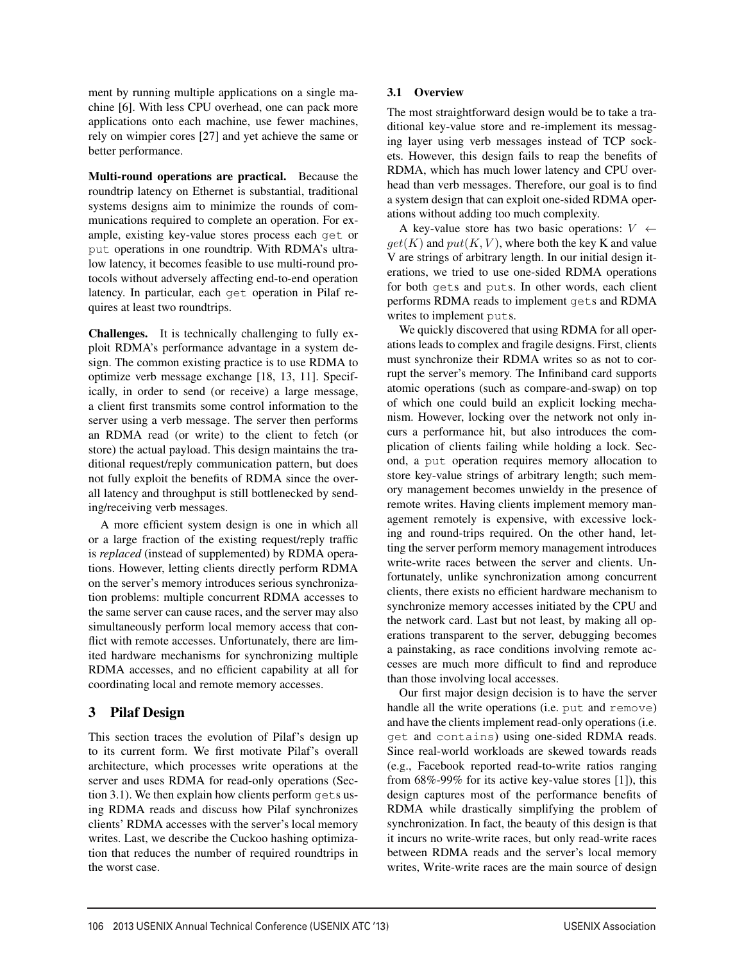ment by running multiple applications on a single machine [6]. With less CPU overhead, one can pack more applications onto each machine, use fewer machines, rely on wimpier cores [27] and yet achieve the same or better performance.

Multi-round operations are practical. Because the roundtrip latency on Ethernet is substantial, traditional systems designs aim to minimize the rounds of communications required to complete an operation. For example, existing key-value stores process each get or put operations in one roundtrip. With RDMA's ultralow latency, it becomes feasible to use multi-round protocols without adversely affecting end-to-end operation latency. In particular, each get operation in Pilaf requires at least two roundtrips.

Challenges. It is technically challenging to fully exploit RDMA's performance advantage in a system design. The common existing practice is to use RDMA to optimize verb message exchange [18, 13, 11]. Specifically, in order to send (or receive) a large message, a client first transmits some control information to the server using a verb message. The server then performs an RDMA read (or write) to the client to fetch (or store) the actual payload. This design maintains the traditional request/reply communication pattern, but does not fully exploit the benefits of RDMA since the overall latency and throughput is still bottlenecked by sending/receiving verb messages.

A more efficient system design is one in which all or a large fraction of the existing request/reply traffic is *replaced* (instead of supplemented) by RDMA operations. However, letting clients directly perform RDMA on the server's memory introduces serious synchronization problems: multiple concurrent RDMA accesses to the same server can cause races, and the server may also simultaneously perform local memory access that conflict with remote accesses. Unfortunately, there are limited hardware mechanisms for synchronizing multiple RDMA accesses, and no efficient capability at all for coordinating local and remote memory accesses.

# 3 Pilaf Design

This section traces the evolution of Pilaf's design up to its current form. We first motivate Pilaf's overall architecture, which processes write operations at the server and uses RDMA for read-only operations (Section 3.1). We then explain how clients perform gets using RDMA reads and discuss how Pilaf synchronizes clients' RDMA accesses with the server's local memory writes. Last, we describe the Cuckoo hashing optimization that reduces the number of required roundtrips in the worst case.

## 3.1 Overview

The most straightforward design would be to take a traditional key-value store and re-implement its messaging layer using verb messages instead of TCP sockets. However, this design fails to reap the benefits of RDMA, which has much lower latency and CPU overhead than verb messages. Therefore, our goal is to find a system design that can exploit one-sided RDMA operations without adding too much complexity.

A key-value store has two basic operations: *V ←*  $qet(K)$  and  $put(K, V)$ , where both the key K and value V are strings of arbitrary length. In our initial design iterations, we tried to use one-sided RDMA operations for both gets and puts. In other words, each client performs RDMA reads to implement gets and RDMA writes to implement puts.

We quickly discovered that using RDMA for all operations leads to complex and fragile designs. First, clients must synchronize their RDMA writes so as not to corrupt the server's memory. The Infiniband card supports atomic operations (such as compare-and-swap) on top of which one could build an explicit locking mechanism. However, locking over the network not only incurs a performance hit, but also introduces the complication of clients failing while holding a lock. Second, a put operation requires memory allocation to store key-value strings of arbitrary length; such memory management becomes unwieldy in the presence of remote writes. Having clients implement memory management remotely is expensive, with excessive locking and round-trips required. On the other hand, letting the server perform memory management introduces write-write races between the server and clients. Unfortunately, unlike synchronization among concurrent clients, there exists no efficient hardware mechanism to synchronize memory accesses initiated by the CPU and the network card. Last but not least, by making all operations transparent to the server, debugging becomes a painstaking, as race conditions involving remote accesses are much more difficult to find and reproduce than those involving local accesses.

Our first major design decision is to have the server handle all the write operations (i.e. put and remove) and have the clients implement read-only operations (i.e. get and contains) using one-sided RDMA reads. Since real-world workloads are skewed towards reads (e.g., Facebook reported read-to-write ratios ranging from 68%-99% for its active key-value stores [1]), this design captures most of the performance benefits of RDMA while drastically simplifying the problem of synchronization. In fact, the beauty of this design is that it incurs no write-write races, but only read-write races between RDMA reads and the server's local memory writes, Write-write races are the main source of design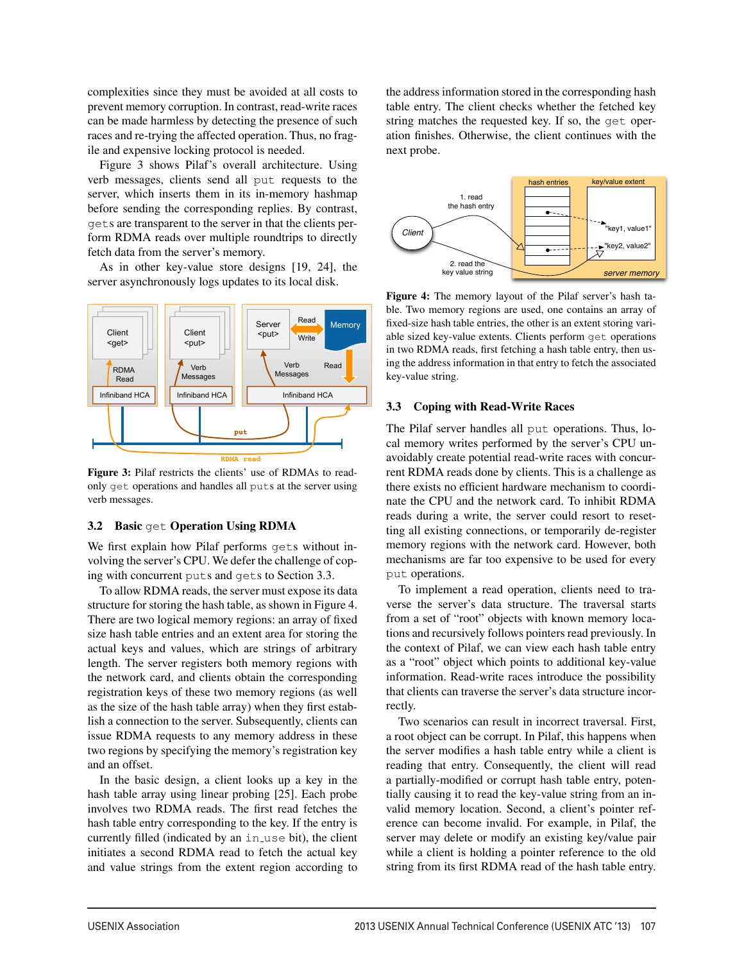complexities since they must be avoided at all costs to prevent memory corruption. In contrast, read-write races can be made harmless by detecting the presence of such races and re-trying the affected operation. Thus, no fragile and expensive locking protocol is needed.

Figure 3 shows Pilaf's overall architecture. Using verb messages, clients send all put requests to the server, which inserts them in its in-memory hashmap before sending the corresponding replies. By contrast, gets are transparent to the server in that the clients perform RDMA reads over multiple roundtrips to directly fetch data from the server's memory.

As in other key-value store designs [19, 24], the server asynchronously logs updates to its local disk.



Figure 3: Pilaf restricts the clients' use of RDMAs to readonly get operations and handles all puts at the server using verb messages.

## 3.2 Basic get Operation Using RDMA

We first explain how Pilaf performs gets without involving the server's CPU. We defer the challenge of coping with concurrent puts and gets to Section 3.3.

To allow RDMA reads, the server must expose its data structure for storing the hash table, as shown in Figure 4. There are two logical memory regions: an array of fixed size hash table entries and an extent area for storing the actual keys and values, which are strings of arbitrary length. The server registers both memory regions with the network card, and clients obtain the corresponding registration keys of these two memory regions (as well as the size of the hash table array) when they first establish a connection to the server. Subsequently, clients can issue RDMA requests to any memory address in these two regions by specifying the memory's registration key and an offset.

In the basic design, a client looks up a key in the hash table array using linear probing [25]. Each probe involves two RDMA reads. The first read fetches the hash table entry corresponding to the key. If the entry is currently filled (indicated by an in\_use bit), the client initiates a second RDMA read to fetch the actual key and value strings from the extent region according to

the address information stored in the corresponding hash table entry. The client checks whether the fetched key string matches the requested key. If so, the get operation finishes. Otherwise, the client continues with the next probe.



Figure 4: The memory layout of the Pilaf server's hash table. Two memory regions are used, one contains an array of fixed-size hash table entries, the other is an extent storing variable sized key-value extents. Clients perform get operations in two RDMA reads, first fetching a hash table entry, then using the address information in that entry to fetch the associated key-value string.

## 3.3 Coping with Read-Write Races

The Pilaf server handles all put operations. Thus, local memory writes performed by the server's CPU unavoidably create potential read-write races with concurrent RDMA reads done by clients. This is a challenge as there exists no efficient hardware mechanism to coordinate the CPU and the network card. To inhibit RDMA reads during a write, the server could resort to resetting all existing connections, or temporarily de-register memory regions with the network card. However, both mechanisms are far too expensive to be used for every put operations.

To implement a read operation, clients need to traverse the server's data structure. The traversal starts from a set of "root" objects with known memory locations and recursively follows pointers read previously. In the context of Pilaf, we can view each hash table entry as a "root" object which points to additional key-value information. Read-write races introduce the possibility that clients can traverse the server's data structure incorrectly.

Two scenarios can result in incorrect traversal. First, a root object can be corrupt. In Pilaf, this happens when the server modifies a hash table entry while a client is reading that entry. Consequently, the client will read a partially-modified or corrupt hash table entry, potentially causing it to read the key-value string from an invalid memory location. Second, a client's pointer reference can become invalid. For example, in Pilaf, the server may delete or modify an existing key/value pair while a client is holding a pointer reference to the old string from its first RDMA read of the hash table entry.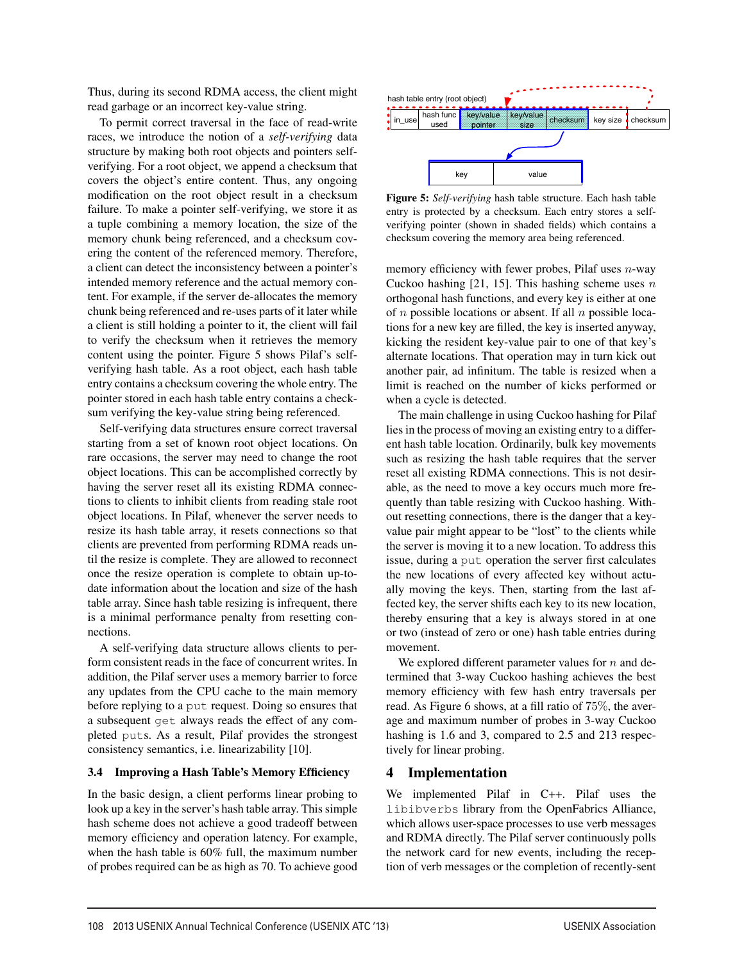Thus, during its second RDMA access, the client might read garbage or an incorrect key-value string.

To permit correct traversal in the face of read-write races, we introduce the notion of a *self-verifying* data structure by making both root objects and pointers selfverifying. For a root object, we append a checksum that covers the object's entire content. Thus, any ongoing modification on the root object result in a checksum failure. To make a pointer self-verifying, we store it as a tuple combining a memory location, the size of the memory chunk being referenced, and a checksum covering the content of the referenced memory. Therefore, a client can detect the inconsistency between a pointer's intended memory reference and the actual memory content. For example, if the server de-allocates the memory chunk being referenced and re-uses parts of it later while a client is still holding a pointer to it, the client will fail to verify the checksum when it retrieves the memory content using the pointer. Figure 5 shows Pilaf's selfverifying hash table. As a root object, each hash table entry contains a checksum covering the whole entry. The pointer stored in each hash table entry contains a checksum verifying the key-value string being referenced.

Self-verifying data structures ensure correct traversal starting from a set of known root object locations. On rare occasions, the server may need to change the root object locations. This can be accomplished correctly by having the server reset all its existing RDMA connections to clients to inhibit clients from reading stale root object locations. In Pilaf, whenever the server needs to resize its hash table array, it resets connections so that clients are prevented from performing RDMA reads until the resize is complete. They are allowed to reconnect once the resize operation is complete to obtain up-todate information about the location and size of the hash table array. Since hash table resizing is infrequent, there is a minimal performance penalty from resetting connections.

A self-verifying data structure allows clients to perform consistent reads in the face of concurrent writes. In addition, the Pilaf server uses a memory barrier to force any updates from the CPU cache to the main memory before replying to a put request. Doing so ensures that a subsequent get always reads the effect of any completed puts. As a result, Pilaf provides the strongest consistency semantics, i.e. linearizability [10].

## 3.4 Improving a Hash Table's Memory Efficiency

In the basic design, a client performs linear probing to look up a key in the server's hash table array. This simple hash scheme does not achieve a good tradeoff between memory efficiency and operation latency. For example, when the hash table is 60% full, the maximum number of probes required can be as high as 70. To achieve good



Figure 5: *Self-verifying* hash table structure. Each hash table entry is protected by a checksum. Each entry stores a selfverifying pointer (shown in shaded fields) which contains a checksum covering the memory area being referenced.

memory efficiency with fewer probes, Pilaf uses *n*-way Cuckoo hashing [21, 15]. This hashing scheme uses *n* orthogonal hash functions, and every key is either at one of *n* possible locations or absent. If all *n* possible locations for a new key are filled, the key is inserted anyway, kicking the resident key-value pair to one of that key's alternate locations. That operation may in turn kick out another pair, ad infinitum. The table is resized when a limit is reached on the number of kicks performed or when a cycle is detected.

The main challenge in using Cuckoo hashing for Pilaf lies in the process of moving an existing entry to a different hash table location. Ordinarily, bulk key movements such as resizing the hash table requires that the server reset all existing RDMA connections. This is not desirable, as the need to move a key occurs much more frequently than table resizing with Cuckoo hashing. Without resetting connections, there is the danger that a keyvalue pair might appear to be "lost" to the clients while the server is moving it to a new location. To address this issue, during a put operation the server first calculates the new locations of every affected key without actually moving the keys. Then, starting from the last affected key, the server shifts each key to its new location, thereby ensuring that a key is always stored in at one or two (instead of zero or one) hash table entries during movement.

We explored different parameter values for *n* and determined that 3-way Cuckoo hashing achieves the best memory efficiency with few hash entry traversals per read. As Figure 6 shows, at a fill ratio of 75%, the average and maximum number of probes in 3-way Cuckoo hashing is 1.6 and 3, compared to 2.5 and 213 respectively for linear probing.

## 4 Implementation

6

We implemented Pilaf in C++. Pilaf uses the libibverbs library from the OpenFabrics Alliance, which allows user-space processes to use verb messages and RDMA directly. The Pilaf server continuously polls the network card for new events, including the reception of verb messages or the completion of recently-sent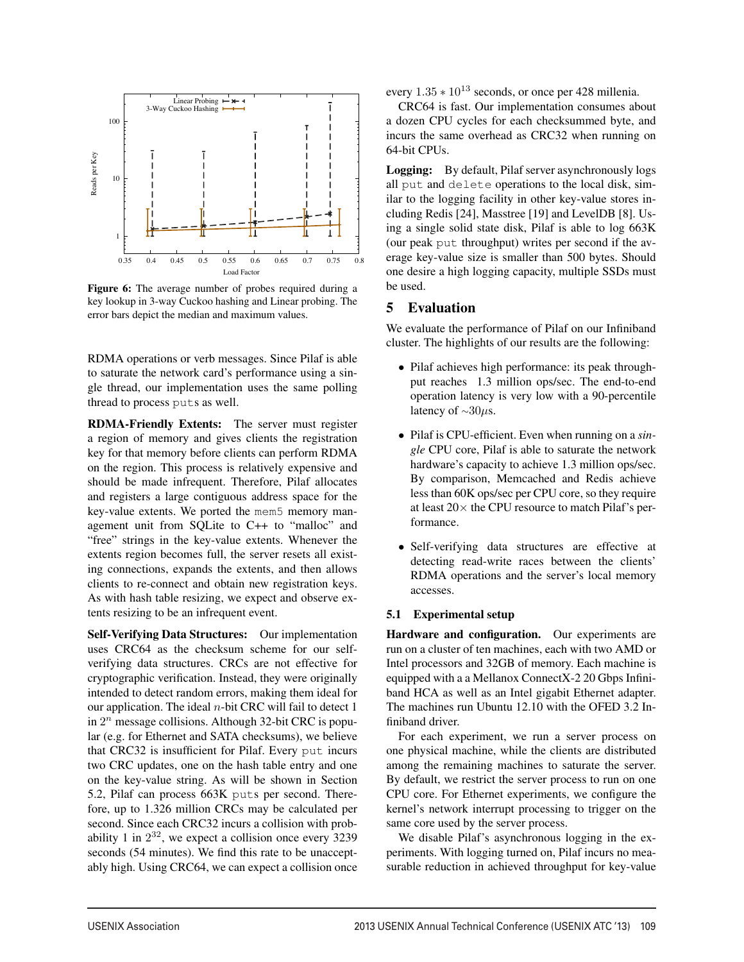

Figure 6: The average number of probes required during a key lookup in 3-way Cuckoo hashing and Linear probing. The error bars depict the median and maximum values.

RDMA operations or verb messages. Since Pilaf is able to saturate the network card's performance using a single thread, our implementation uses the same polling thread to process puts as well.

RDMA-Friendly Extents: The server must register a region of memory and gives clients the registration key for that memory before clients can perform RDMA on the region. This process is relatively expensive and should be made infrequent. Therefore, Pilaf allocates and registers a large contiguous address space for the key-value extents. We ported the mem5 memory management unit from SQLite to C++ to "malloc" and "free" strings in the key-value extents. Whenever the extents region becomes full, the server resets all existing connections, expands the extents, and then allows clients to re-connect and obtain new registration keys. As with hash table resizing, we expect and observe extents resizing to be an infrequent event.

Self-Verifying Data Structures: Our implementation uses CRC64 as the checksum scheme for our selfverifying data structures. CRCs are not effective for cryptographic verification. Instead, they were originally intended to detect random errors, making them ideal for our application. The ideal *n*-bit CRC will fail to detect 1 in 2*<sup>n</sup>* message collisions. Although 32-bit CRC is popular (e.g. for Ethernet and SATA checksums), we believe that CRC32 is insufficient for Pilaf. Every put incurs two CRC updates, one on the hash table entry and one on the key-value string. As will be shown in Section 5.2, Pilaf can process 663K puts per second. Therefore, up to 1.326 million CRCs may be calculated per second. Since each CRC32 incurs a collision with probability 1 in  $2^{32}$ , we expect a collision once every 3239 seconds (54 minutes). We find this rate to be unacceptably high. Using CRC64, we can expect a collision once

every  $1.35 * 10^{13}$  seconds, or once per 428 millenia.

CRC64 is fast. Our implementation consumes about a dozen CPU cycles for each checksummed byte, and incurs the same overhead as CRC32 when running on 64-bit CPUs.

Logging: By default, Pilaf server asynchronously logs all put and delete operations to the local disk, similar to the logging facility in other key-value stores including Redis [24], Masstree [19] and LevelDB [8]. Using a single solid state disk, Pilaf is able to log 663K (our peak put throughput) writes per second if the average key-value size is smaller than 500 bytes. Should one desire a high logging capacity, multiple SSDs must be used.

# 5 Evaluation

We evaluate the performance of Pilaf on our Infiniband cluster. The highlights of our results are the following:

- *•* Pilaf achieves high performance: its peak throughput reaches 1.3 million ops/sec. The end-to-end operation latency is very low with a 90-percentile latency of *<sup>∼</sup>*30*µ*s.
- *•* Pilaf is CPU-efficient. Even when running on a *single* CPU core, Pilaf is able to saturate the network hardware's capacity to achieve 1.3 million ops/sec. By comparison, Memcached and Redis achieve less than 60K ops/sec per CPU core, so they require at least 20*×* the CPU resource to match Pilaf's performance.
- *•* Self-verifying data structures are effective at detecting read-write races between the clients' RDMA operations and the server's local memory accesses.

## 5.1 Experimental setup

1

Hardware and configuration. Our experiments are run on a cluster of ten machines, each with two AMD or Intel processors and 32GB of memory. Each machine is equipped with a a Mellanox ConnectX-2 20 Gbps Infiniband HCA as well as an Intel gigabit Ethernet adapter. The machines run Ubuntu 12.10 with the OFED 3.2 Infiniband driver.

For each experiment, we run a server process on one physical machine, while the clients are distributed among the remaining machines to saturate the server. By default, we restrict the server process to run on one CPU core. For Ethernet experiments, we configure the kernel's network interrupt processing to trigger on the same core used by the server process.

We disable Pilaf's asynchronous logging in the experiments. With logging turned on, Pilaf incurs no measurable reduction in achieved throughput for key-value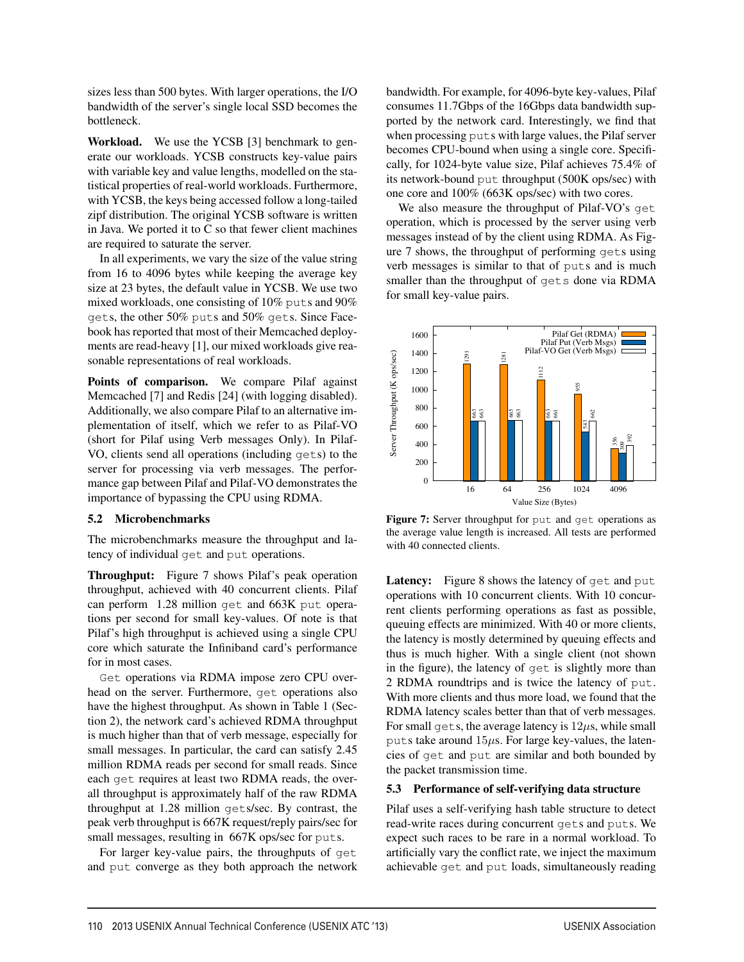sizes less than 500 bytes. With larger operations, the I/O bandwidth of the server's single local SSD becomes the bottleneck.

Workload. We use the YCSB [3] benchmark to generate our workloads. YCSB constructs key-value pairs with variable key and value lengths, modelled on the statistical properties of real-world workloads. Furthermore, with YCSB, the keys being accessed follow a long-tailed zipf distribution. The original YCSB software is written in Java. We ported it to C so that fewer client machines are required to saturate the server.

In all experiments, we vary the size of the value string from 16 to 4096 bytes while keeping the average key size at 23 bytes, the default value in YCSB. We use two mixed workloads, one consisting of 10% puts and 90% gets, the other 50% puts and 50% gets. Since Facebook has reported that most of their Memcached deployments are read-heavy [1], our mixed workloads give reasonable representations of real workloads.

Points of comparison. We compare Pilaf against Memcached [7] and Redis [24] (with logging disabled). Additionally, we also compare Pilaf to an alternative implementation of itself, which we refer to as Pilaf-VO (short for Pilaf using Verb messages Only). In Pilaf-VO, clients send all operations (including gets) to the server for processing via verb messages. The performance gap between Pilaf and Pilaf-VO demonstrates the importance of bypassing the CPU using RDMA.

## 5.2 Microbenchmarks

The microbenchmarks measure the throughput and latency of individual get and put operations.

Throughput: Figure 7 shows Pilaf's peak operation throughput, achieved with 40 concurrent clients. Pilaf can perform 1.28 million get and 663K put operations per second for small key-values. Of note is that Pilaf's high throughput is achieved using a single CPU core which saturate the Infiniband card's performance for in most cases.

Get operations via RDMA impose zero CPU overhead on the server. Furthermore, get operations also have the highest throughput. As shown in Table 1 (Section 2), the network card's achieved RDMA throughput is much higher than that of verb message, especially for small messages. In particular, the card can satisfy 2.45 million RDMA reads per second for small reads. Since each get requires at least two RDMA reads, the overall throughput is approximately half of the raw RDMA throughput at 1.28 million gets/sec. By contrast, the peak verb throughput is 667K request/reply pairs/sec for small messages, resulting in 667K ops/sec for puts.

For larger key-value pairs, the throughputs of get and put converge as they both approach the network bandwidth. For example, for 4096-byte key-values, Pilaf consumes 11.7Gbps of the 16Gbps data bandwidth supported by the network card. Interestingly, we find that when processing puts with large values, the Pilaf server becomes CPU-bound when using a single core. Specifically, for 1024-byte value size, Pilaf achieves 75.4% of its network-bound put throughput (500K ops/sec) with one core and 100% (663K ops/sec) with two cores.

We also measure the throughput of Pilaf-VO's get operation, which is processed by the server using verb messages instead of by the client using RDMA. As Figure 7 shows, the throughput of performing gets using verb messages is similar to that of puts and is much smaller than the throughput of gets done via RDMA for small key-value pairs.



Figure 7: Server throughput for put and get operations as the average value length is increased. All tests are performed with 40 connected clients.

Latency: Figure 8 shows the latency of get and put operations with 10 concurrent clients. With 10 concurrent clients performing operations as fast as possible, queuing effects are minimized. With 40 or more clients, the latency is mostly determined by queuing effects and thus is much higher. With a single client (not shown in the figure), the latency of get is slightly more than 2 RDMA roundtrips and is twice the latency of put. With more clients and thus more load, we found that the RDMA latency scales better than that of verb messages. For small gets, the average latency is  $12\mu s$ , while small puts take around 15*µ*s. For large key-values, the latencies of get and put are similar and both bounded by the packet transmission time.

## 5.3 Performance of self-verifying data structure

Pilaf uses a self-verifying hash table structure to detect read-write races during concurrent gets and puts. We expect such races to be rare in a normal workload. To artificially vary the conflict rate, we inject the maximum achievable get and put loads, simultaneously reading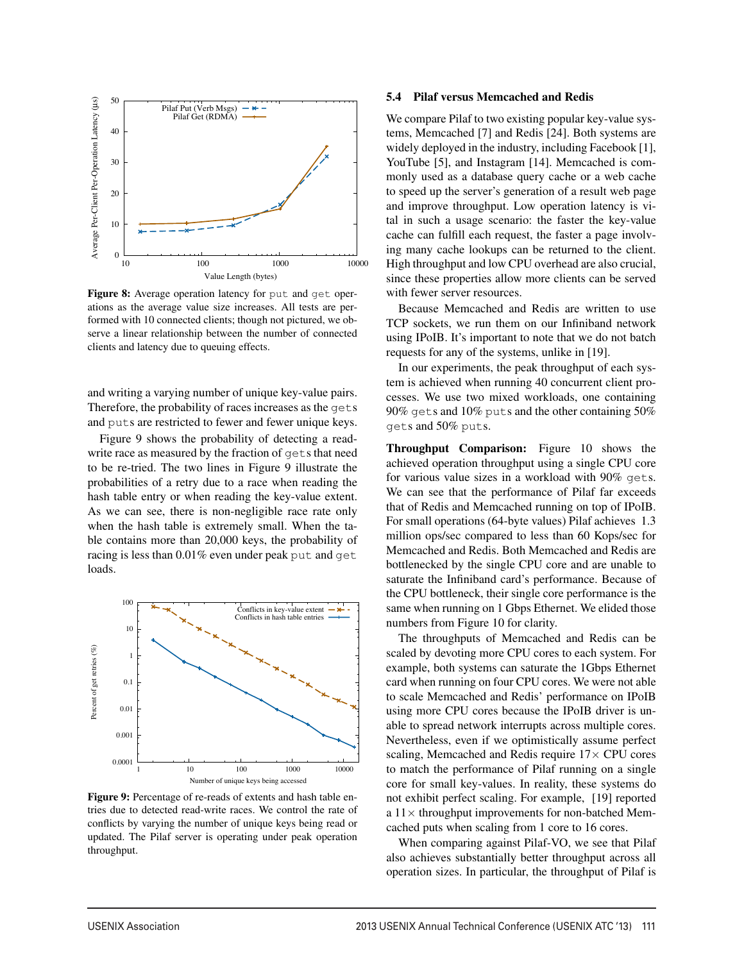

Figure 8: Average operation latency for put and get operations as the average value size increases. All tests are performed with 10 connected clients; though not pictured, we observe a linear relationship between the number of connected clients and latency due to queuing effects.

and writing a varying number of unique key-value pairs. Therefore, the probability of races increases as the gets and puts are restricted to fewer and fewer unique keys.

Figure 9 shows the probability of detecting a readwrite race as measured by the fraction of gets that need to be re-tried. The two lines in Figure 9 illustrate the probabilities of a retry due to a race when reading the hash table entry or when reading the key-value extent. As we can see, there is non-negligible race rate only when the hash table is extremely small. When the table contains more than 20,000 keys, the probability of racing is less than 0.01% even under peak put and get loads.



Figure 9: Percentage of re-reads of extents and hash table entries due to detected read-write races. We control the rate of conflicts by varying the number of unique keys being read or updated. The Pilaf server is operating under peak operation throughput.

#### 5.4 Pilaf versus Memcached and Redis

We compare Pilaf to two existing popular key-value systems, Memcached [7] and Redis [24]. Both systems are widely deployed in the industry, including Facebook [1], YouTube [5], and Instagram [14]. Memcached is commonly used as a database query cache or a web cache to speed up the server's generation of a result web page and improve throughput. Low operation latency is vital in such a usage scenario: the faster the key-value cache can fulfill each request, the faster a page involving many cache lookups can be returned to the client. High throughput and low CPU overhead are also crucial, since these properties allow more clients can be served with fewer server resources.

Because Memcached and Redis are written to use TCP sockets, we run them on our Infiniband network using IPoIB. It's important to note that we do not batch requests for any of the systems, unlike in [19].

In our experiments, the peak throughput of each system is achieved when running 40 concurrent client processes. We use two mixed workloads, one containing 90% gets and 10% puts and the other containing 50% gets and 50% puts.

Throughput Comparison: Figure 10 shows the achieved operation throughput using a single CPU core for various value sizes in a workload with 90% gets. We can see that the performance of Pilaf far exceeds that of Redis and Memcached running on top of IPoIB. For small operations (64-byte values) Pilaf achieves 1.3 million ops/sec compared to less than 60 Kops/sec for Memcached and Redis. Both Memcached and Redis are bottlenecked by the single CPU core and are unable to saturate the Infiniband card's performance. Because of the CPU bottleneck, their single core performance is the same when running on 1 Gbps Ethernet. We elided those numbers from Figure 10 for clarity.

The throughputs of Memcached and Redis can be scaled by devoting more CPU cores to each system. For example, both systems can saturate the 1Gbps Ethernet card when running on four CPU cores. We were not able to scale Memcached and Redis' performance on IPoIB using more CPU cores because the IPoIB driver is unable to spread network interrupts across multiple cores. Nevertheless, even if we optimistically assume perfect scaling, Memcached and Redis require 17*×* CPU cores to match the performance of Pilaf running on a single core for small key-values. In reality, these systems do not exhibit perfect scaling. For example, [19] reported a 11*×* throughput improvements for non-batched Memcached puts when scaling from 1 core to 16 cores.

When comparing against Pilaf-VO, we see that Pilaf also achieves substantially better throughput across all operation sizes. In particular, the throughput of Pilaf is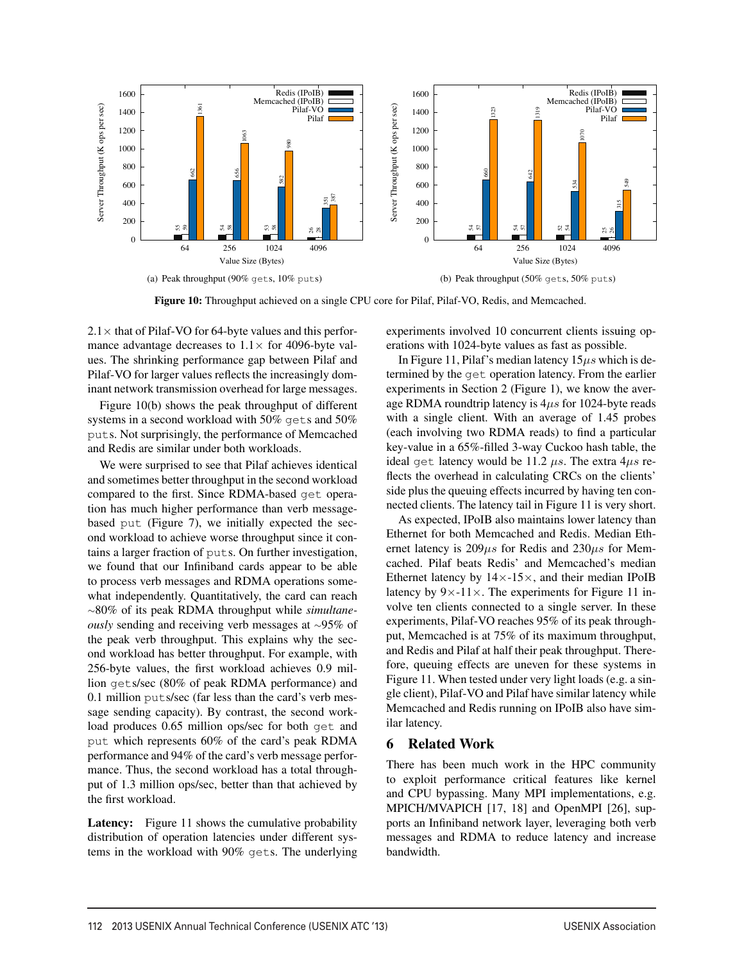

Figure 10: Throughput achieved on a single CPU core for Pilaf, Pilaf-VO, Redis, and Memcached.

 $2.1\times$  that of Pilaf-VO for 64-byte values and this performance advantage decreases to  $1.1 \times$  for 4096-byte values. The shrinking performance gap between Pilaf and Pilaf-VO for larger values reflects the increasingly dominant network transmission overhead for large messages.

Figure 10(b) shows the peak throughput of different systems in a second workload with 50% gets and 50% puts. Not surprisingly, the performance of Memcached and Redis are similar under both workloads.

We were surprised to see that Pilaf achieves identical and sometimes better throughput in the second workload compared to the first. Since RDMA-based get operation has much higher performance than verb messagebased put (Figure 7), we initially expected the second workload to achieve worse throughput since it contains a larger fraction of puts. On further investigation, we found that our Infiniband cards appear to be able to process verb messages and RDMA operations somewhat independently. Quantitatively, the card can reach *<sup>∼</sup>*80% of its peak RDMA throughput while *simultaneously* sending and receiving verb messages at *<sup>∼</sup>*95% of the peak verb throughput. This explains why the second workload has better throughput. For example, with 256-byte values, the first workload achieves 0.9 million gets/sec (80% of peak RDMA performance) and 0.1 million puts/sec (far less than the card's verb message sending capacity). By contrast, the second workload produces 0.65 million ops/sec for both get and put which represents 60% of the card's peak RDMA performance and 94% of the card's verb message performance. Thus, the second workload has a total throughput of 1.3 million ops/sec, better than that achieved by the first workload.

Latency: Figure 11 shows the cumulative probability distribution of operation latencies under different systems in the workload with 90% gets. The underlying experiments involved 10 concurrent clients issuing operations with 1024-byte values as fast as possible.

In Figure 11, Pilaf's median latency 15*µs* which is determined by the get operation latency. From the earlier experiments in Section 2 (Figure 1), we know the average RDMA roundtrip latency is 4*µs* for 1024-byte reads with a single client. With an average of 1.45 probes (each involving two RDMA reads) to find a particular key-value in a 65%-filled 3-way Cuckoo hash table, the ideal get latency would be 11.2 *µs*. The extra 4*µs* reflects the overhead in calculating CRCs on the clients' side plus the queuing effects incurred by having ten connected clients. The latency tail in Figure 11 is very short.

As expected, IPoIB also maintains lower latency than Ethernet for both Memcached and Redis. Median Ethernet latency is 209*µs* for Redis and 230*µs* for Memcached. Pilaf beats Redis' and Memcached's median Ethernet latency by 14*×*-15*×*, and their median IPoIB latency by 9*×*-11*×*. The experiments for Figure 11 involve ten clients connected to a single server. In these experiments, Pilaf-VO reaches 95% of its peak throughput, Memcached is at 75% of its maximum throughput, and Redis and Pilaf at half their peak throughput. Therefore, queuing effects are uneven for these systems in Figure 11. When tested under very light loads (e.g. a single client), Pilaf-VO and Pilaf have similar latency while Memcached and Redis running on IPoIB also have similar latency.

# 6 Related Work

There has been much work in the HPC community to exploit performance critical features like kernel and CPU bypassing. Many MPI implementations, e.g. MPICH/MVAPICH [17, 18] and OpenMPI [26], supports an Infiniband network layer, leveraging both verb messages and RDMA to reduce latency and increase bandwidth.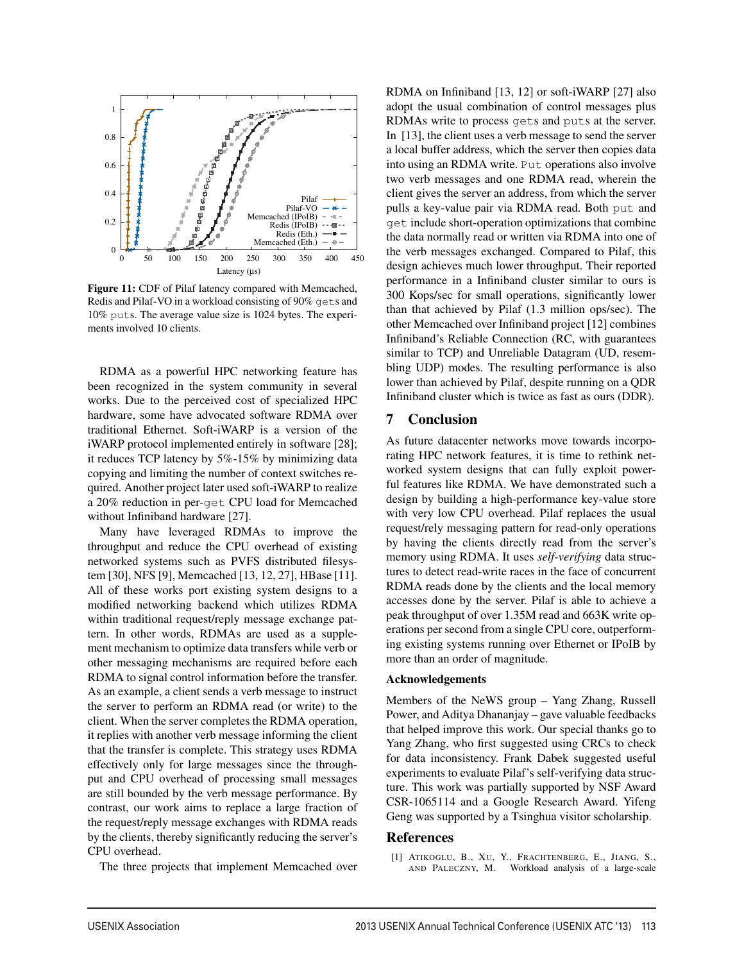

Figure 11: CDF of Pilaf latency compared with Memcached, Redis and Pilaf-VO in a workload consisting of 90% gets and 10% puts. The average value size is 1024 bytes. The experiments involved 10 clients.

RDMA as a powerful HPC networking feature has been recognized in the system community in several works. Due to the perceived cost of specialized HPC hardware, some have advocated software RDMA over traditional Ethernet. Soft-iWARP is a version of the iWARP protocol implemented entirely in software [28]; it reduces TCP latency by 5%-15% by minimizing data copying and limiting the number of context switches required. Another project later used soft-iWARP to realize a 20% reduction in per-get CPU load for Memcached without Infiniband hardware [27].

Many have leveraged RDMAs to improve the throughput and reduce the CPU overhead of existing networked systems such as PVFS distributed filesystem [30], NFS [9], Memcached [13, 12, 27], HBase [11]. All of these works port existing system designs to a modified networking backend which utilizes RDMA within traditional request/reply message exchange pattern. In other words, RDMAs are used as a supplement mechanism to optimize data transfers while verb or other messaging mechanisms are required before each RDMA to signal control information before the transfer. As an example, a client sends a verb message to instruct the server to perform an RDMA read (or write) to the client. When the server completes the RDMA operation, it replies with another verb message informing the client that the transfer is complete. This strategy uses RDMA effectively only for large messages since the throughput and CPU overhead of processing small messages are still bounded by the verb message performance. By contrast, our work aims to replace a large fraction of the request/reply message exchanges with RDMA reads by the clients, thereby significantly reducing the server's CPU overhead.

The three projects that implement Memcached over

RDMA on Infiniband [13, 12] or soft-iWARP [27] also adopt the usual combination of control messages plus RDMAs write to process gets and puts at the server. In [13], the client uses a verb message to send the server a local buffer address, which the server then copies data into using an RDMA write. Put operations also involve two verb messages and one RDMA read, wherein the client gives the server an address, from which the server pulls a key-value pair via RDMA read. Both put and get include short-operation optimizations that combine the data normally read or written via RDMA into one of the verb messages exchanged. Compared to Pilaf, this design achieves much lower throughput. Their reported performance in a Infiniband cluster similar to ours is 300 Kops/sec for small operations, significantly lower than that achieved by Pilaf (1.3 million ops/sec). The other Memcached over Infiniband project [12] combines Infiniband's Reliable Connection (RC, with guarantees similar to TCP) and Unreliable Datagram (UD, resembling UDP) modes. The resulting performance is also lower than achieved by Pilaf, despite running on a QDR Infiniband cluster which is twice as fast as ours (DDR).

# 7 Conclusion

As future datacenter networks move towards incorporating HPC network features, it is time to rethink networked system designs that can fully exploit powerful features like RDMA. We have demonstrated such a design by building a high-performance key-value store with very low CPU overhead. Pilaf replaces the usual request/rely messaging pattern for read-only operations by having the clients directly read from the server's memory using RDMA. It uses *self-verifying* data structures to detect read-write races in the face of concurrent RDMA reads done by the clients and the local memory accesses done by the server. Pilaf is able to achieve a peak throughput of over 1.35M read and 663K write operations per second from a single CPU core, outperforming existing systems running over Ethernet or IPoIB by more than an order of magnitude.

## Acknowledgements

Members of the NeWS group – Yang Zhang, Russell Power, and Aditya Dhananjay – gave valuable feedbacks that helped improve this work. Our special thanks go to Yang Zhang, who first suggested using CRCs to check for data inconsistency. Frank Dabek suggested useful experiments to evaluate Pilaf's self-verifying data structure. This work was partially supported by NSF Award CSR-1065114 and a Google Research Award. Yifeng Geng was supported by a Tsinghua visitor scholarship.

#### References

 $\overline{1}$ 

[1] ATIKOGLU, B., XU, Y., FRACHTENBERG, E., JIANG, S., Workload analysis of a large-scale